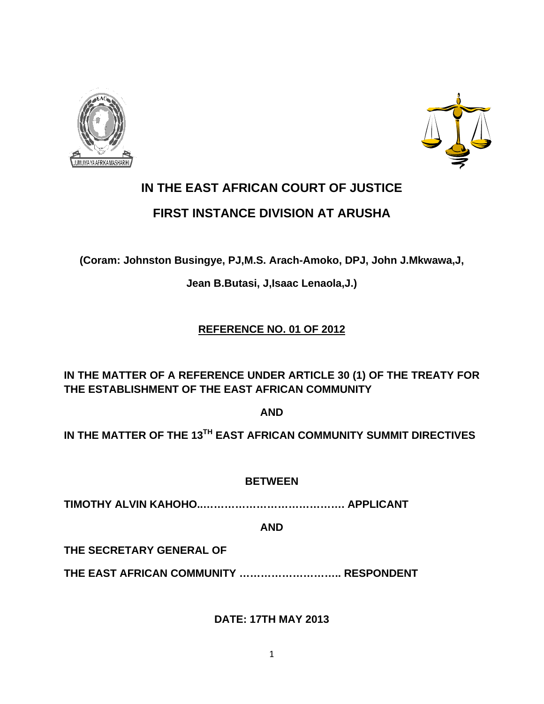



# **IN THE EAST AFRICAN COURT OF JUSTICE FIRST INSTANCE DIVISION AT ARUSHA**

**(Coram: Johnston Busingye, PJ,M.S. Arach-Amoko, DPJ, John J.Mkwawa,J,** 

**Jean B.Butasi, J,Isaac Lenaola,J.)** 

### **REFERENCE NO. 01 OF 2012**

**IN THE MATTER OF A REFERENCE UNDER ARTICLE 30 (1) OF THE TREATY FOR THE ESTABLISHMENT OF THE EAST AFRICAN COMMUNITY** 

**AND** 

**IN THE MATTER OF THE 13TH EAST AFRICAN COMMUNITY SUMMIT DIRECTIVES** 

**BETWEEN** 

**TIMOTHY ALVIN KAHOHO..…………………………………. APPLICANT** 

**AND** 

**THE SECRETARY GENERAL OF** 

**THE EAST AFRICAN COMMUNITY ……………………….. RESPONDENT** 

**DATE: 17TH MAY 2013**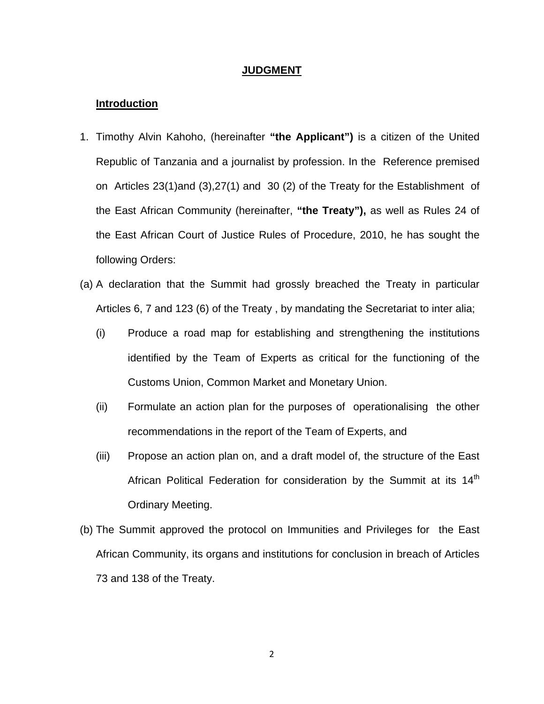#### **JUDGMENT**

#### **Introduction**

- 1. Timothy Alvin Kahoho, (hereinafter **"the Applicant")** is a citizen of the United Republic of Tanzania and a journalist by profession. In the Reference premised on Articles 23(1)and (3),27(1) and 30 (2) of the Treaty for the Establishment of the East African Community (hereinafter, **"the Treaty"),** as well as Rules 24 of the East African Court of Justice Rules of Procedure, 2010, he has sought the following Orders:
- (a) A declaration that the Summit had grossly breached the Treaty in particular Articles 6, 7 and 123 (6) of the Treaty , by mandating the Secretariat to inter alia;
	- (i) Produce a road map for establishing and strengthening the institutions identified by the Team of Experts as critical for the functioning of the Customs Union, Common Market and Monetary Union.
	- (ii) Formulate an action plan for the purposes of operationalising the other recommendations in the report of the Team of Experts, and
	- (iii) Propose an action plan on, and a draft model of, the structure of the East African Political Federation for consideration by the Summit at its 14<sup>th</sup> Ordinary Meeting.
- (b) The Summit approved the protocol on Immunities and Privileges for the East African Community, its organs and institutions for conclusion in breach of Articles 73 and 138 of the Treaty.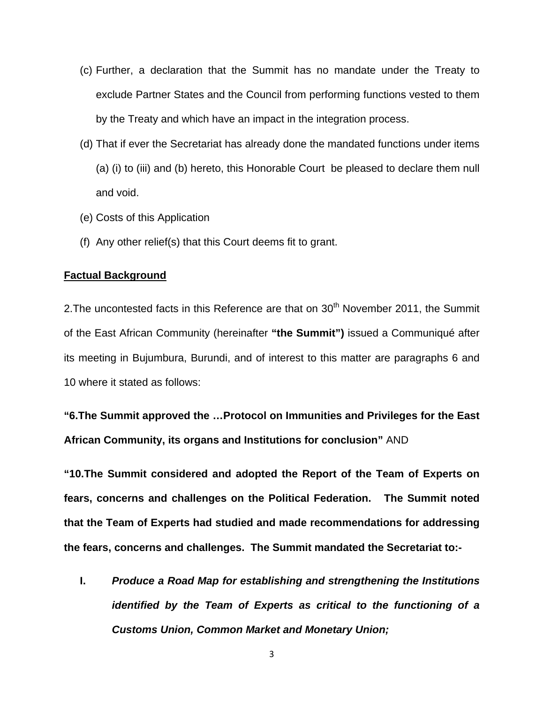- (c) Further, a declaration that the Summit has no mandate under the Treaty to exclude Partner States and the Council from performing functions vested to them by the Treaty and which have an impact in the integration process.
- (d) That if ever the Secretariat has already done the mandated functions under items (a) (i) to (iii) and (b) hereto, this Honorable Court be pleased to declare them null and void.
- (e) Costs of this Application
- (f) Any other relief(s) that this Court deems fit to grant.

#### **Factual Background**

2. The uncontested facts in this Reference are that on  $30<sup>th</sup>$  November 2011, the Summit of the East African Community (hereinafter **"the Summit")** issued a Communiqué after its meeting in Bujumbura, Burundi, and of interest to this matter are paragraphs 6 and 10 where it stated as follows:

**"6.The Summit approved the …Protocol on Immunities and Privileges for the East African Community, its organs and Institutions for conclusion"** AND

**"10.The Summit considered and adopted the Report of the Team of Experts on fears, concerns and challenges on the Political Federation. The Summit noted that the Team of Experts had studied and made recommendations for addressing the fears, concerns and challenges. The Summit mandated the Secretariat to:-** 

**I.** *Produce a Road Map for establishing and strengthening the Institutions identified by the Team of Experts as critical to the functioning of a Customs Union, Common Market and Monetary Union;*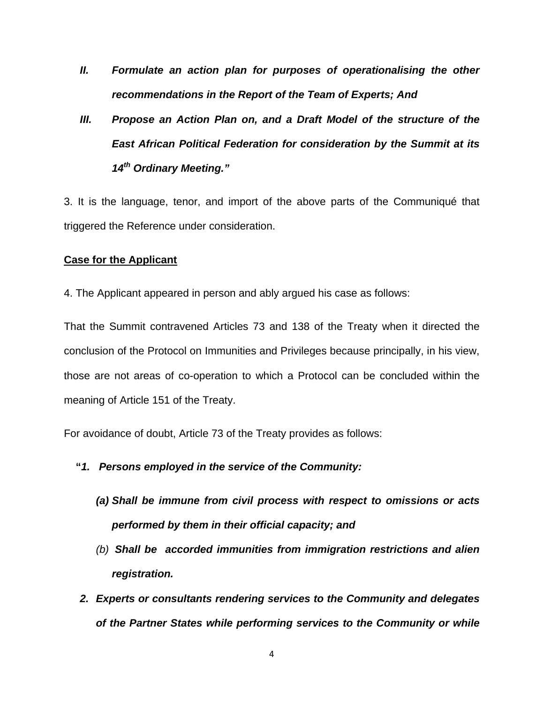- *II. Formulate an action plan for purposes of operationalising the other recommendations in the Report of the Team of Experts; And*
- *III. Propose an Action Plan on, and a Draft Model of the structure of the East African Political Federation for consideration by the Summit at its 14th Ordinary Meeting."*

3. It is the language, tenor, and import of the above parts of the Communiqué that triggered the Reference under consideration.

#### **Case for the Applicant**

4. The Applicant appeared in person and ably argued his case as follows:

That the Summit contravened Articles 73 and 138 of the Treaty when it directed the conclusion of the Protocol on Immunities and Privileges because principally, in his view, those are not areas of co-operation to which a Protocol can be concluded within the meaning of Article 151 of the Treaty.

For avoidance of doubt, Article 73 of the Treaty provides as follows:

- **"***1. Persons employed in the service of the Community:* 
	- *(a) Shall be immune from civil process with respect to omissions or acts performed by them in their official capacity; and*
	- *(b) Shall be accorded immunities from immigration restrictions and alien registration.*
- *2. Experts or consultants rendering services to the Community and delegates of the Partner States while performing services to the Community or while*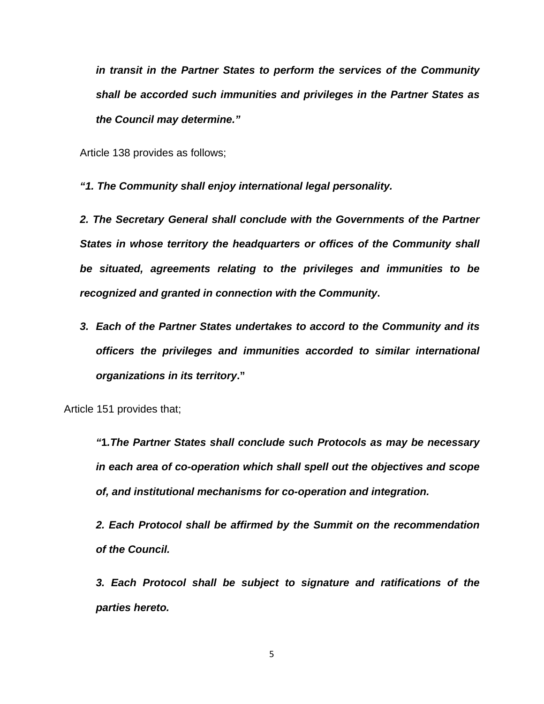*in transit in the Partner States to perform the services of the Community shall be accorded such immunities and privileges in the Partner States as the Council may determine."* 

Article 138 provides as follows;

*"1. The Community shall enjoy international legal personality.* 

*2. The Secretary General shall conclude with the Governments of the Partner States in whose territory the headquarters or offices of the Community shall be situated, agreements relating to the privileges and immunities to be recognized and granted in connection with the Community***.**

*3. Each of the Partner States undertakes to accord to the Community and its officers the privileges and immunities accorded to similar international organizations in its territory***."** 

Article 151 provides that;

*"***1***.The Partner States shall conclude such Protocols as may be necessary in each area of co-operation which shall spell out the objectives and scope of, and institutional mechanisms for co-operation and integration.* 

*2. Each Protocol shall be affirmed by the Summit on the recommendation of the Council.* 

*3. Each Protocol shall be subject to signature and ratifications of the parties hereto.*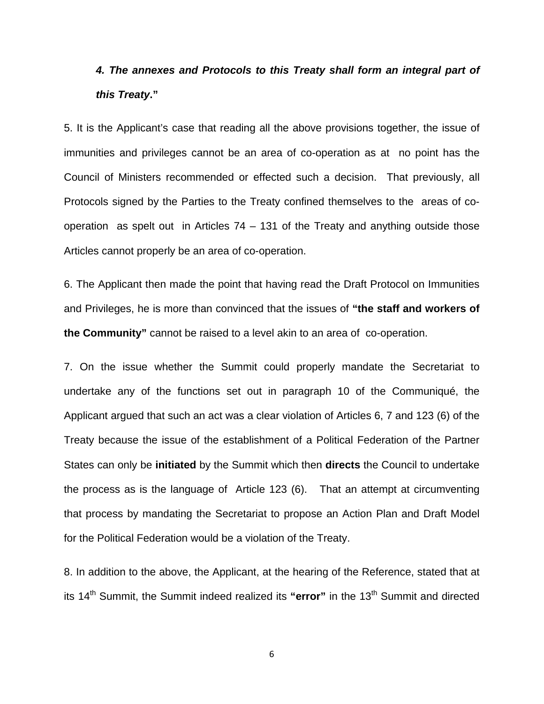### *4. The annexes and Protocols to this Treaty shall form an integral part of this Treaty***."**

5. It is the Applicant's case that reading all the above provisions together, the issue of immunities and privileges cannot be an area of co-operation as at no point has the Council of Ministers recommended or effected such a decision. That previously, all Protocols signed by the Parties to the Treaty confined themselves to the areas of cooperation as spelt out in Articles 74 – 131 of the Treaty and anything outside those Articles cannot properly be an area of co-operation.

6. The Applicant then made the point that having read the Draft Protocol on Immunities and Privileges, he is more than convinced that the issues of **"the staff and workers of the Community"** cannot be raised to a level akin to an area of co-operation.

7. On the issue whether the Summit could properly mandate the Secretariat to undertake any of the functions set out in paragraph 10 of the Communiqué, the Applicant argued that such an act was a clear violation of Articles 6, 7 and 123 (6) of the Treaty because the issue of the establishment of a Political Federation of the Partner States can only be **initiated** by the Summit which then **directs** the Council to undertake the process as is the language of Article 123 (6). That an attempt at circumventing that process by mandating the Secretariat to propose an Action Plan and Draft Model for the Political Federation would be a violation of the Treaty.

8. In addition to the above, the Applicant, at the hearing of the Reference, stated that at its 14<sup>th</sup> Summit, the Summit indeed realized its "error" in the 13<sup>th</sup> Summit and directed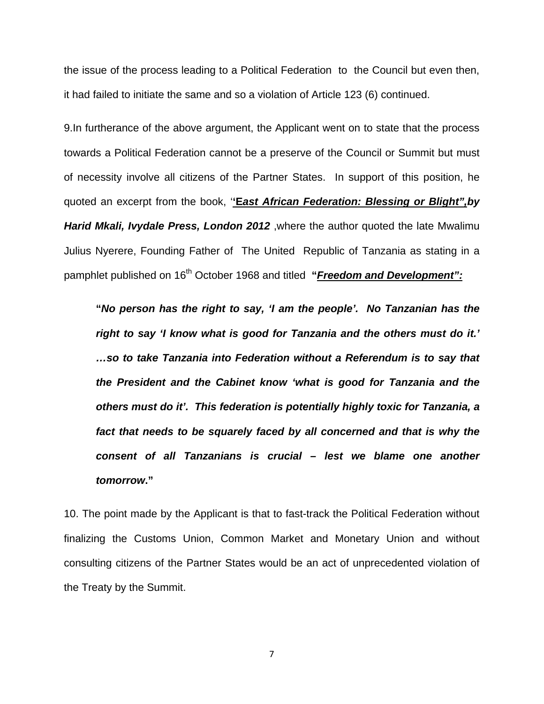the issue of the process leading to a Political Federation to the Council but even then, it had failed to initiate the same and so a violation of Article 123 (6) continued.

9.In furtherance of the above argument, the Applicant went on to state that the process towards a Political Federation cannot be a preserve of the Council or Summit but must of necessity involve all citizens of the Partner States. In support of this position, he quoted an excerpt from the book, '**'E***ast African Federation: Blessing or Blight",by Harid Mkali, Ivydale Press, London 2012* ,where the author quoted the late Mwalimu Julius Nyerere, Founding Father of The United Republic of Tanzania as stating in a pamphlet published on 16<sup>th</sup> October 1968 and titled "**Freedom and Development**":

**"***No person has the right to say, 'I am the people'. No Tanzanian has the right to say 'I know what is good for Tanzania and the others must do it.' …so to take Tanzania into Federation without a Referendum is to say that the President and the Cabinet know 'what is good for Tanzania and the others must do it'. This federation is potentially highly toxic for Tanzania, a fact that needs to be squarely faced by all concerned and that is why the consent of all Tanzanians is crucial – lest we blame one another tomorrow***."**

10. The point made by the Applicant is that to fast-track the Political Federation without finalizing the Customs Union, Common Market and Monetary Union and without consulting citizens of the Partner States would be an act of unprecedented violation of the Treaty by the Summit.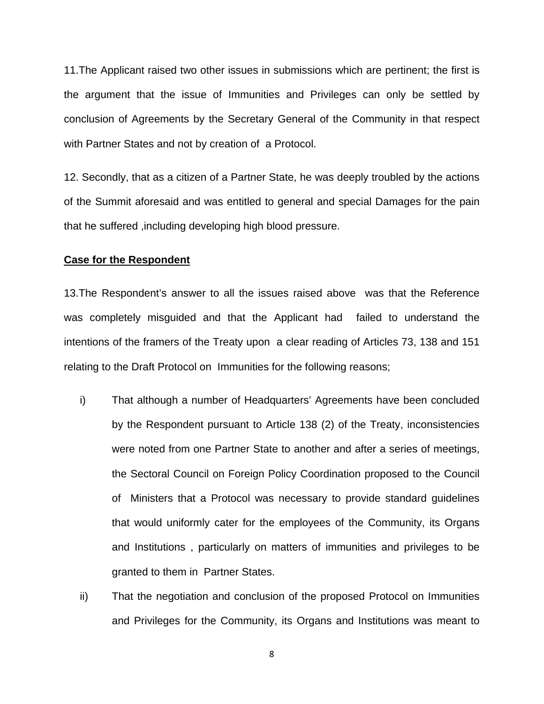11.The Applicant raised two other issues in submissions which are pertinent; the first is the argument that the issue of Immunities and Privileges can only be settled by conclusion of Agreements by the Secretary General of the Community in that respect with Partner States and not by creation of a Protocol.

12. Secondly, that as a citizen of a Partner State, he was deeply troubled by the actions of the Summit aforesaid and was entitled to general and special Damages for the pain that he suffered ,including developing high blood pressure.

#### **Case for the Respondent**

13.The Respondent's answer to all the issues raised above was that the Reference was completely misguided and that the Applicant had failed to understand the intentions of the framers of the Treaty upon a clear reading of Articles 73, 138 and 151 relating to the Draft Protocol on Immunities for the following reasons;

- i) That although a number of Headquarters' Agreements have been concluded by the Respondent pursuant to Article 138 (2) of the Treaty, inconsistencies were noted from one Partner State to another and after a series of meetings, the Sectoral Council on Foreign Policy Coordination proposed to the Council of Ministers that a Protocol was necessary to provide standard guidelines that would uniformly cater for the employees of the Community, its Organs and Institutions , particularly on matters of immunities and privileges to be granted to them in Partner States.
- ii) That the negotiation and conclusion of the proposed Protocol on Immunities and Privileges for the Community, its Organs and Institutions was meant to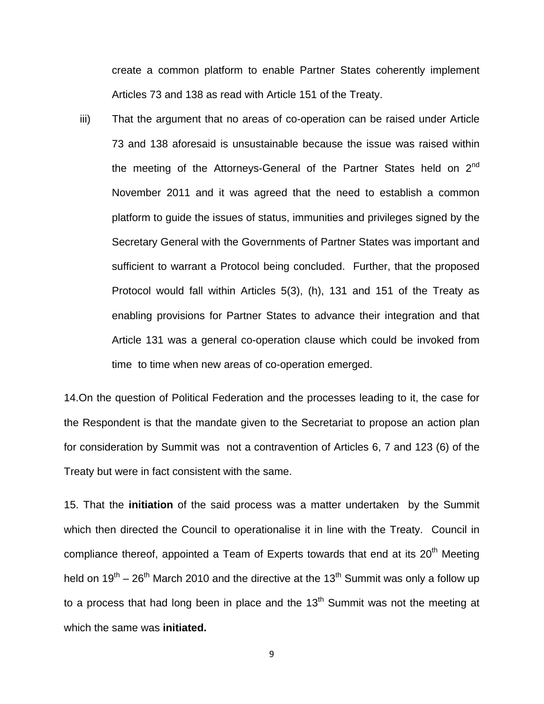create a common platform to enable Partner States coherently implement Articles 73 and 138 as read with Article 151 of the Treaty.

iii) That the argument that no areas of co-operation can be raised under Article 73 and 138 aforesaid is unsustainable because the issue was raised within the meeting of the Attorneys-General of the Partner States held on  $2<sup>nd</sup>$ November 2011 and it was agreed that the need to establish a common platform to guide the issues of status, immunities and privileges signed by the Secretary General with the Governments of Partner States was important and sufficient to warrant a Protocol being concluded. Further, that the proposed Protocol would fall within Articles 5(3), (h), 131 and 151 of the Treaty as enabling provisions for Partner States to advance their integration and that Article 131 was a general co-operation clause which could be invoked from time to time when new areas of co-operation emerged.

14.On the question of Political Federation and the processes leading to it, the case for the Respondent is that the mandate given to the Secretariat to propose an action plan for consideration by Summit was not a contravention of Articles 6, 7 and 123 (6) of the Treaty but were in fact consistent with the same.

15. That the **initiation** of the said process was a matter undertaken by the Summit which then directed the Council to operationalise it in line with the Treaty. Council in compliance thereof, appointed a Team of Experts towards that end at its  $20<sup>th</sup>$  Meeting held on  $19^{th}$  – 26<sup>th</sup> March 2010 and the directive at the 13<sup>th</sup> Summit was only a follow up to a process that had long been in place and the  $13<sup>th</sup>$  Summit was not the meeting at which the same was **initiated.**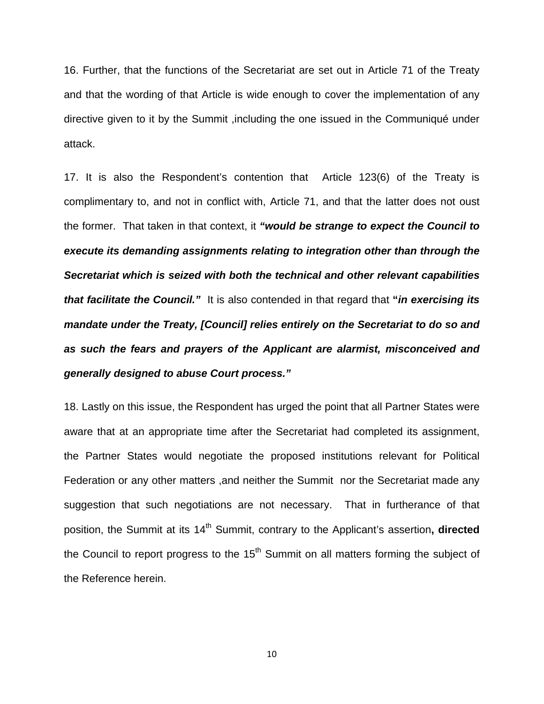16. Further, that the functions of the Secretariat are set out in Article 71 of the Treaty and that the wording of that Article is wide enough to cover the implementation of any directive given to it by the Summit ,including the one issued in the Communiqué under attack.

17. It is also the Respondent's contention that Article 123(6) of the Treaty is complimentary to, and not in conflict with, Article 71, and that the latter does not oust the former. That taken in that context, it *"would be strange to expect the Council to execute its demanding assignments relating to integration other than through the Secretariat which is seized with both the technical and other relevant capabilities that facilitate the Council."* It is also contended in that regard that **"***in exercising its mandate under the Treaty, [Council] relies entirely on the Secretariat to do so and as such the fears and prayers of the Applicant are alarmist, misconceived and generally designed to abuse Court process."*

18. Lastly on this issue, the Respondent has urged the point that all Partner States were aware that at an appropriate time after the Secretariat had completed its assignment, the Partner States would negotiate the proposed institutions relevant for Political Federation or any other matters ,and neither the Summit nor the Secretariat made any suggestion that such negotiations are not necessary. That in furtherance of that position, the Summit at its 14<sup>th</sup> Summit, contrary to the Applicant's assertion, **directed** the Council to report progress to the  $15<sup>th</sup>$  Summit on all matters forming the subject of the Reference herein.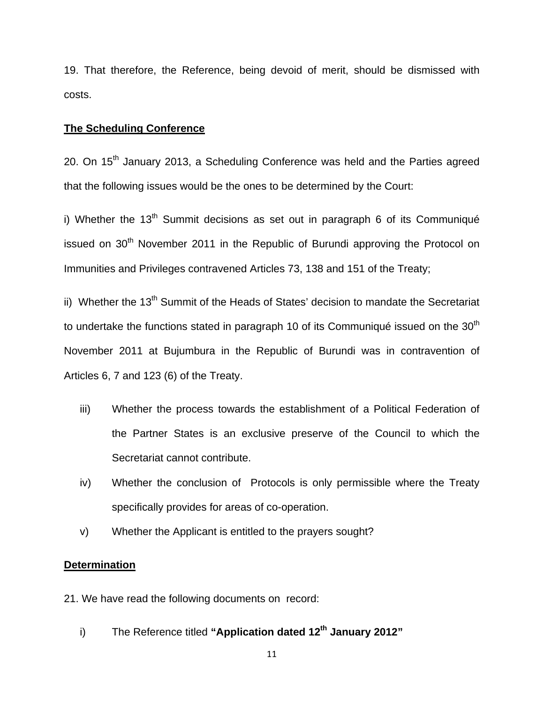19. That therefore, the Reference, being devoid of merit, should be dismissed with costs.

#### **The Scheduling Conference**

20. On  $15<sup>th</sup>$  January 2013, a Scheduling Conference was held and the Parties agreed that the following issues would be the ones to be determined by the Court:

i) Whether the  $13<sup>th</sup>$  Summit decisions as set out in paragraph 6 of its Communiqué issued on  $30<sup>th</sup>$  November 2011 in the Republic of Burundi approving the Protocol on Immunities and Privileges contravened Articles 73, 138 and 151 of the Treaty;

ii) Whether the 13<sup>th</sup> Summit of the Heads of States' decision to mandate the Secretariat to undertake the functions stated in paragraph 10 of its Communiqué issued on the  $30<sup>th</sup>$ November 2011 at Bujumbura in the Republic of Burundi was in contravention of Articles 6, 7 and 123 (6) of the Treaty.

- iii) Whether the process towards the establishment of a Political Federation of the Partner States is an exclusive preserve of the Council to which the Secretariat cannot contribute.
- iv) Whether the conclusion of Protocols is only permissible where the Treaty specifically provides for areas of co-operation.
- v) Whether the Applicant is entitled to the prayers sought?

#### **Determination**

21. We have read the following documents on record:

i) The Reference titled "**Application dated 12<sup>th</sup> January 2012**"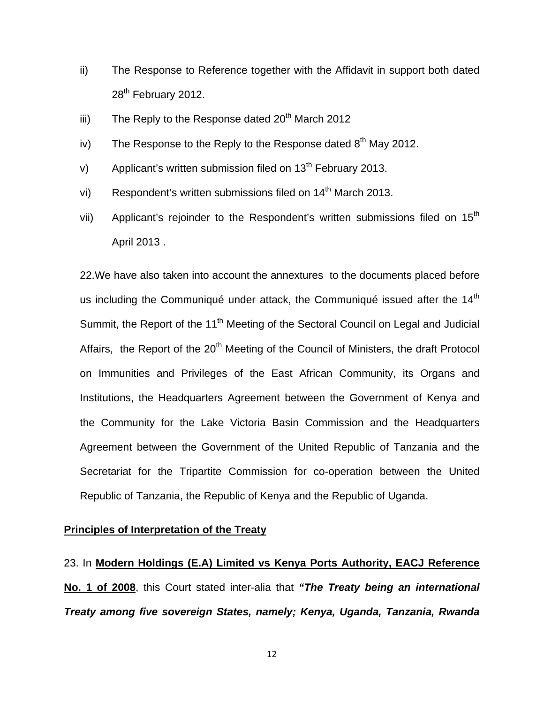- ii) The Response to Reference together with the Affidavit in support both dated 28<sup>th</sup> February 2012.
- iii) The Reply to the Response dated  $20<sup>th</sup>$  March 2012
- iv) The Response to the Reply to the Response dated  $8<sup>th</sup>$  May 2012.
- v) Applicant's written submission filed on  $13<sup>th</sup>$  February 2013.
- vi) Respondent's written submissions filed on  $14<sup>th</sup>$  March 2013.
- vii) Applicant's rejoinder to the Respondent's written submissions filed on  $15<sup>th</sup>$ April 2013 .

22.We have also taken into account the annextures to the documents placed before us including the Communiqué under attack, the Communiqué issued after the  $14<sup>th</sup>$ Summit, the Report of the 11<sup>th</sup> Meeting of the Sectoral Council on Legal and Judicial Affairs, the Report of the 20<sup>th</sup> Meeting of the Council of Ministers, the draft Protocol on Immunities and Privileges of the East African Community, its Organs and Institutions, the Headquarters Agreement between the Government of Kenya and the Community for the Lake Victoria Basin Commission and the Headquarters Agreement between the Government of the United Republic of Tanzania and the Secretariat for the Tripartite Commission for co-operation between the United Republic of Tanzania, the Republic of Kenya and the Republic of Uganda.

#### **Principles of Interpretation of the Treaty**

23. In **Modern Holdings (E.A) Limited vs Kenya Ports Authority, EACJ Reference No. 1 of 2008**, this Court stated inter-alia that *"The Treaty being an international Treaty among five sovereign States, namely; Kenya, Uganda, Tanzania, Rwanda*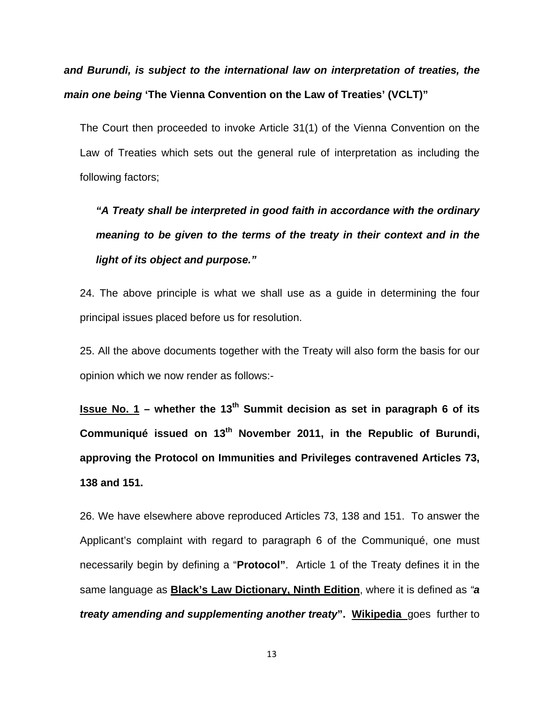*and Burundi, is subject to the international law on interpretation of treaties, the main one being* **'The Vienna Convention on the Law of Treaties' (VCLT)"** 

The Court then proceeded to invoke Article 31(1) of the Vienna Convention on the Law of Treaties which sets out the general rule of interpretation as including the following factors;

*"A Treaty shall be interpreted in good faith in accordance with the ordinary meaning to be given to the terms of the treaty in their context and in the light of its object and purpose."* 

24. The above principle is what we shall use as a guide in determining the four principal issues placed before us for resolution.

25. All the above documents together with the Treaty will also form the basis for our opinion which we now render as follows:-

**Issue No. 1** – whether the 13<sup>th</sup> Summit decision as set in paragraph 6 of its Communiqué issued on 13<sup>th</sup> November 2011, in the Republic of Burundi, **approving the Protocol on Immunities and Privileges contravened Articles 73, 138 and 151.** 

26. We have elsewhere above reproduced Articles 73, 138 and 151. To answer the Applicant's complaint with regard to paragraph 6 of the Communiqué, one must necessarily begin by defining a "**Protocol"**. Article 1 of the Treaty defines it in the same language as **Black's Law Dictionary, Ninth Edition**, where it is defined as *"a treaty amending and supplementing another treaty***". Wikipedia** goes further to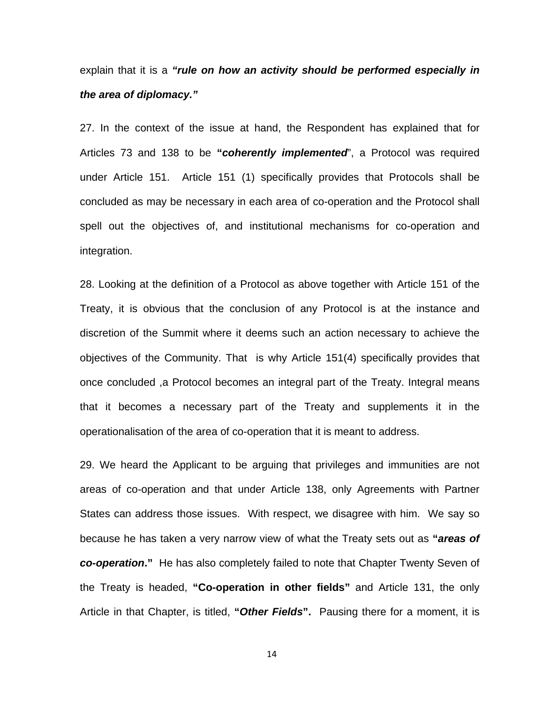explain that it is a *"rule on how an activity should be performed especially in the area of diplomacy."*

27. In the context of the issue at hand, the Respondent has explained that for Articles 73 and 138 to be **"***coherently implemented*", a Protocol was required under Article 151. Article 151 (1) specifically provides that Protocols shall be concluded as may be necessary in each area of co-operation and the Protocol shall spell out the objectives of, and institutional mechanisms for co-operation and integration.

28. Looking at the definition of a Protocol as above together with Article 151 of the Treaty, it is obvious that the conclusion of any Protocol is at the instance and discretion of the Summit where it deems such an action necessary to achieve the objectives of the Community. That is why Article 151(4) specifically provides that once concluded ,a Protocol becomes an integral part of the Treaty. Integral means that it becomes a necessary part of the Treaty and supplements it in the operationalisation of the area of co-operation that it is meant to address.

29. We heard the Applicant to be arguing that privileges and immunities are not areas of co-operation and that under Article 138, only Agreements with Partner States can address those issues. With respect, we disagree with him. We say so because he has taken a very narrow view of what the Treaty sets out as **"***areas of co-operation***."** He has also completely failed to note that Chapter Twenty Seven of the Treaty is headed, **"Co-operation in other fields"** and Article 131, the only Article in that Chapter, is titled, **"***Other Fields***".** Pausing there for a moment, it is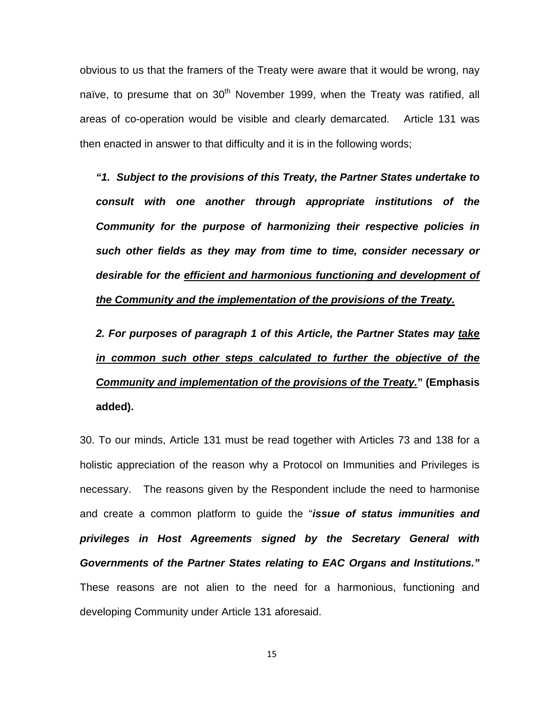obvious to us that the framers of the Treaty were aware that it would be wrong, nay naïve, to presume that on  $30<sup>th</sup>$  November 1999, when the Treaty was ratified, all areas of co-operation would be visible and clearly demarcated. Article 131 was then enacted in answer to that difficulty and it is in the following words;

*"1. Subject to the provisions of this Treaty, the Partner States undertake to consult with one another through appropriate institutions of the Community for the purpose of harmonizing their respective policies in such other fields as they may from time to time, consider necessary or desirable for the efficient and harmonious functioning and development of the Community and the implementation of the provisions of the Treaty.*

*2. For purposes of paragraph 1 of this Article, the Partner States may take in common such other steps calculated to further the objective of the Community and implementation of the provisions of the Treaty.***" (Emphasis added).** 

30. To our minds, Article 131 must be read together with Articles 73 and 138 for a holistic appreciation of the reason why a Protocol on Immunities and Privileges is necessary. The reasons given by the Respondent include the need to harmonise and create a common platform to guide the "*issue of status immunities and privileges in Host Agreements signed by the Secretary General with Governments of the Partner States relating to EAC Organs and Institutions."* These reasons are not alien to the need for a harmonious, functioning and developing Community under Article 131 aforesaid.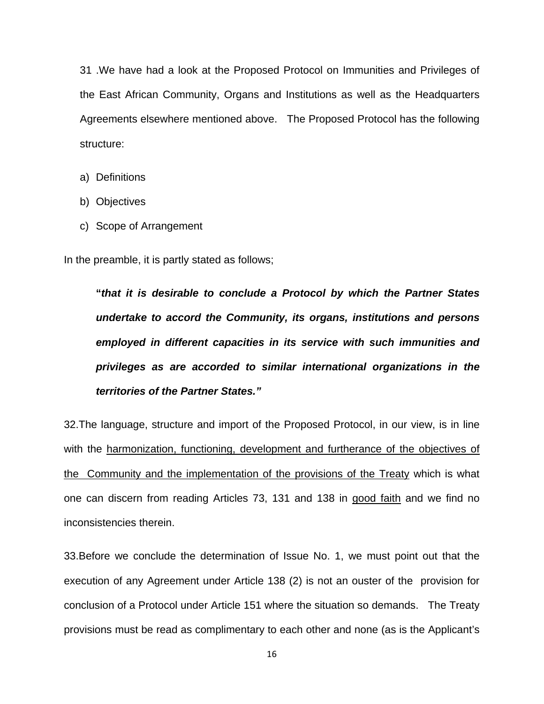31 .We have had a look at the Proposed Protocol on Immunities and Privileges of the East African Community, Organs and Institutions as well as the Headquarters Agreements elsewhere mentioned above. The Proposed Protocol has the following structure:

- a) Definitions
- b) Objectives
- c) Scope of Arrangement

In the preamble, it is partly stated as follows;

**"***that it is desirable to conclude a Protocol by which the Partner States undertake to accord the Community, its organs, institutions and persons employed in different capacities in its service with such immunities and privileges as are accorded to similar international organizations in the territories of the Partner States."* 

32.The language, structure and import of the Proposed Protocol, in our view, is in line with the harmonization, functioning, development and furtherance of the objectives of the Community and the implementation of the provisions of the Treaty which is what one can discern from reading Articles 73, 131 and 138 in good faith and we find no inconsistencies therein.

33.Before we conclude the determination of Issue No. 1, we must point out that the execution of any Agreement under Article 138 (2) is not an ouster of the provision for conclusion of a Protocol under Article 151 where the situation so demands. The Treaty provisions must be read as complimentary to each other and none (as is the Applicant's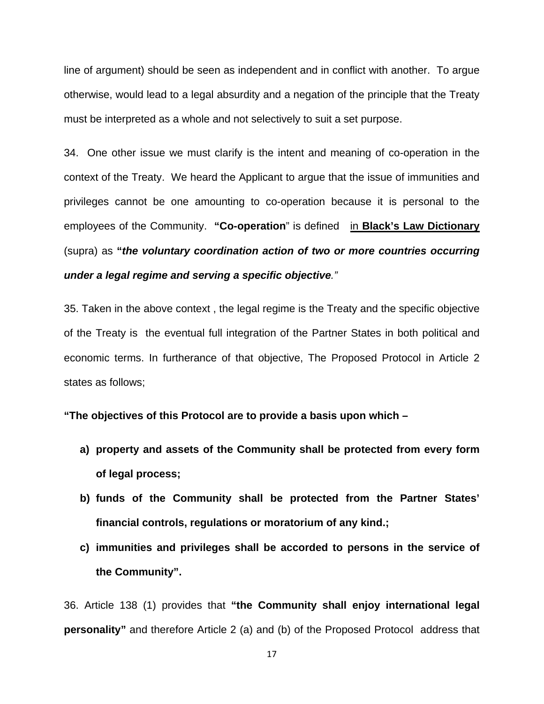line of argument) should be seen as independent and in conflict with another. To argue otherwise, would lead to a legal absurdity and a negation of the principle that the Treaty must be interpreted as a whole and not selectively to suit a set purpose.

34. One other issue we must clarify is the intent and meaning of co-operation in the context of the Treaty. We heard the Applicant to argue that the issue of immunities and privileges cannot be one amounting to co-operation because it is personal to the employees of the Community. **"Co-operation**" is defined in **Black's Law Dictionary** (supra) as **"***the voluntary coordination action of two or more countries occurring under a legal regime and serving a specific objective."*

35. Taken in the above context , the legal regime is the Treaty and the specific objective of the Treaty is the eventual full integration of the Partner States in both political and economic terms. In furtherance of that objective, The Proposed Protocol in Article 2 states as follows;

**"The objectives of this Protocol are to provide a basis upon which –** 

- **a) property and assets of the Community shall be protected from every form of legal process;**
- **b) funds of the Community shall be protected from the Partner States' financial controls, regulations or moratorium of any kind.;**
- **c) immunities and privileges shall be accorded to persons in the service of the Community".**

36. Article 138 (1) provides that **"the Community shall enjoy international legal personality"** and therefore Article 2 (a) and (b) of the Proposed Protocol address that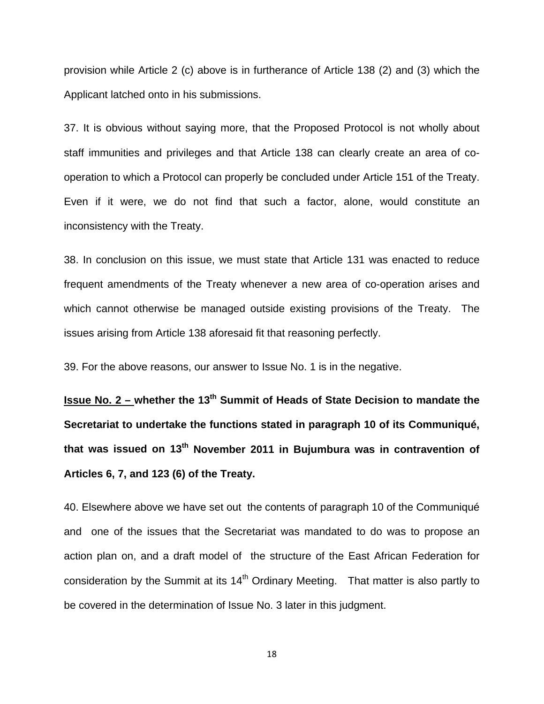provision while Article 2 (c) above is in furtherance of Article 138 (2) and (3) which the Applicant latched onto in his submissions.

37. It is obvious without saying more, that the Proposed Protocol is not wholly about staff immunities and privileges and that Article 138 can clearly create an area of cooperation to which a Protocol can properly be concluded under Article 151 of the Treaty. Even if it were, we do not find that such a factor, alone, would constitute an inconsistency with the Treaty.

38. In conclusion on this issue, we must state that Article 131 was enacted to reduce frequent amendments of the Treaty whenever a new area of co-operation arises and which cannot otherwise be managed outside existing provisions of the Treaty. The issues arising from Article 138 aforesaid fit that reasoning perfectly.

39. For the above reasons, our answer to Issue No. 1 is in the negative.

**Issue No. 2 – whether the 13<sup>th</sup> Summit of Heads of State Decision to mandate the Secretariat to undertake the functions stated in paragraph 10 of its Communiqué,**  that was issued on 13<sup>th</sup> November 2011 in Bujumbura was in contravention of **Articles 6, 7, and 123 (6) of the Treaty.** 

40. Elsewhere above we have set out the contents of paragraph 10 of the Communiqué and one of the issues that the Secretariat was mandated to do was to propose an action plan on, and a draft model of the structure of the East African Federation for consideration by the Summit at its  $14<sup>th</sup>$  Ordinary Meeting. That matter is also partly to be covered in the determination of Issue No. 3 later in this judgment.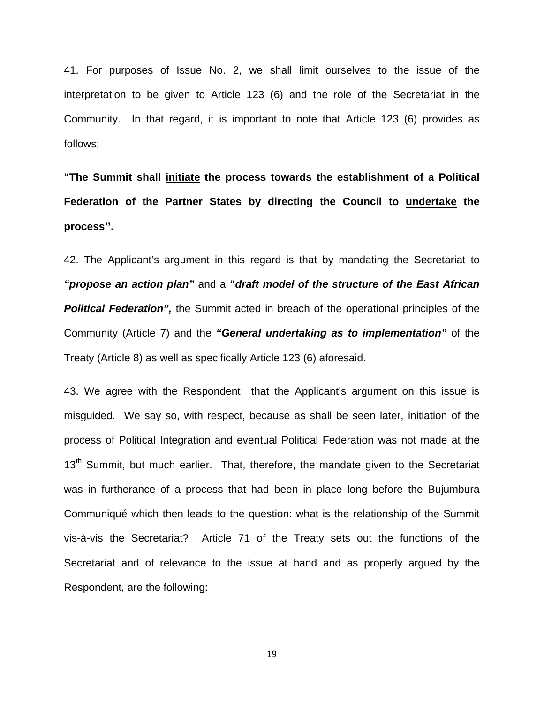41. For purposes of Issue No. 2, we shall limit ourselves to the issue of the interpretation to be given to Article 123 (6) and the role of the Secretariat in the Community. In that regard, it is important to note that Article 123 (6) provides as follows;

**"The Summit shall initiate the process towards the establishment of a Political Federation of the Partner States by directing the Council to undertake the process''.** 

42. The Applicant's argument in this regard is that by mandating the Secretariat to *"propose an action plan"* and a **"***draft model of the structure of the East African*  **Political Federation", the Summit acted in breach of the operational principles of the** Community (Article 7) and the *"General undertaking as to implementation"* of the Treaty (Article 8) as well as specifically Article 123 (6) aforesaid.

43. We agree with the Respondent that the Applicant's argument on this issue is misguided. We say so, with respect, because as shall be seen later, initiation of the process of Political Integration and eventual Political Federation was not made at the 13<sup>th</sup> Summit, but much earlier. That, therefore, the mandate given to the Secretariat was in furtherance of a process that had been in place long before the Bujumbura Communiqué which then leads to the question: what is the relationship of the Summit vis-à-vis the Secretariat? Article 71 of the Treaty sets out the functions of the Secretariat and of relevance to the issue at hand and as properly argued by the Respondent, are the following: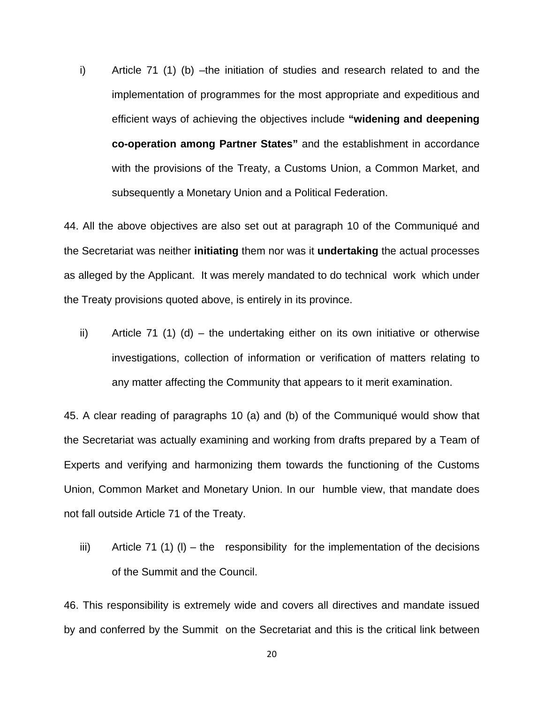i) Article 71 (1) (b) –the initiation of studies and research related to and the implementation of programmes for the most appropriate and expeditious and efficient ways of achieving the objectives include **"widening and deepening co-operation among Partner States"** and the establishment in accordance with the provisions of the Treaty, a Customs Union, a Common Market, and subsequently a Monetary Union and a Political Federation.

44. All the above objectives are also set out at paragraph 10 of the Communiqué and the Secretariat was neither **initiating** them nor was it **undertaking** the actual processes as alleged by the Applicant. It was merely mandated to do technical work which under the Treaty provisions quoted above, is entirely in its province.

ii) Article 71 (1) (d) – the undertaking either on its own initiative or otherwise investigations, collection of information or verification of matters relating to any matter affecting the Community that appears to it merit examination.

45. A clear reading of paragraphs 10 (a) and (b) of the Communiqué would show that the Secretariat was actually examining and working from drafts prepared by a Team of Experts and verifying and harmonizing them towards the functioning of the Customs Union, Common Market and Monetary Union. In our humble view, that mandate does not fall outside Article 71 of the Treaty.

iii) Article 71 (1) (I) – the responsibility for the implementation of the decisions of the Summit and the Council.

46. This responsibility is extremely wide and covers all directives and mandate issued by and conferred by the Summit on the Secretariat and this is the critical link between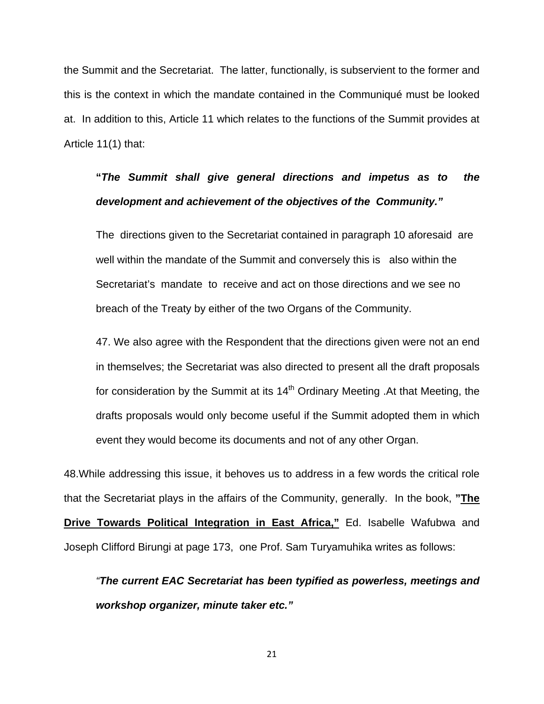the Summit and the Secretariat. The latter, functionally, is subservient to the former and this is the context in which the mandate contained in the Communiqué must be looked at. In addition to this, Article 11 which relates to the functions of the Summit provides at Article 11(1) that:

## **"***The Summit shall give general directions and impetus as to the development and achievement of the objectives of the Community."*

The directions given to the Secretariat contained in paragraph 10 aforesaid are well within the mandate of the Summit and conversely this is also within the Secretariat's mandate to receive and act on those directions and we see no breach of the Treaty by either of the two Organs of the Community.

47. We also agree with the Respondent that the directions given were not an end in themselves; the Secretariat was also directed to present all the draft proposals for consideration by the Summit at its  $14<sup>th</sup>$  Ordinary Meeting . At that Meeting, the drafts proposals would only become useful if the Summit adopted them in which event they would become its documents and not of any other Organ.

48.While addressing this issue, it behoves us to address in a few words the critical role that the Secretariat plays in the affairs of the Community, generally. In the book, **"The Drive Towards Political Integration in East Africa,"** Ed. Isabelle Wafubwa and Joseph Clifford Birungi at page 173, one Prof. Sam Turyamuhika writes as follows:

*"The current EAC Secretariat has been typified as powerless, meetings and workshop organizer, minute taker etc."*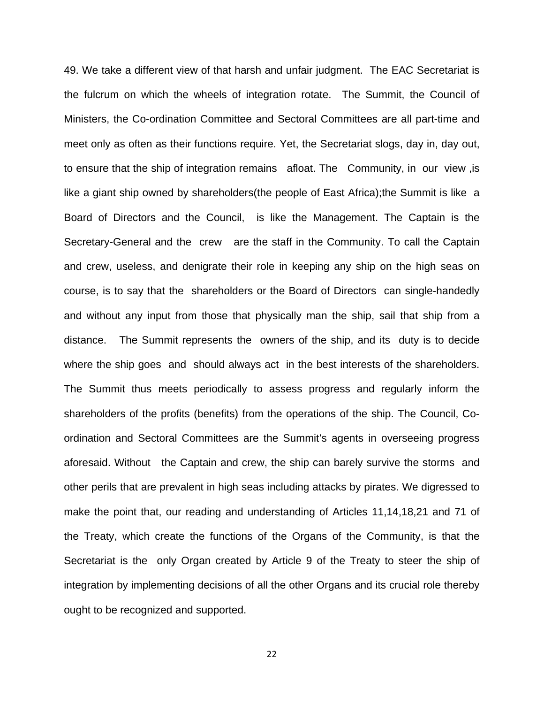49. We take a different view of that harsh and unfair judgment. The EAC Secretariat is the fulcrum on which the wheels of integration rotate. The Summit, the Council of Ministers, the Co-ordination Committee and Sectoral Committees are all part-time and meet only as often as their functions require. Yet, the Secretariat slogs, day in, day out, to ensure that the ship of integration remains afloat. The Community, in our view ,is like a giant ship owned by shareholders(the people of East Africa);the Summit is like a Board of Directors and the Council, is like the Management. The Captain is the Secretary-General and the crew are the staff in the Community. To call the Captain and crew, useless, and denigrate their role in keeping any ship on the high seas on course, is to say that the shareholders or the Board of Directors can single-handedly and without any input from those that physically man the ship, sail that ship from a distance. The Summit represents the owners of the ship, and its duty is to decide where the ship goes and should always act in the best interests of the shareholders. The Summit thus meets periodically to assess progress and regularly inform the shareholders of the profits (benefits) from the operations of the ship. The Council, Coordination and Sectoral Committees are the Summit's agents in overseeing progress aforesaid. Without the Captain and crew, the ship can barely survive the storms and other perils that are prevalent in high seas including attacks by pirates. We digressed to make the point that, our reading and understanding of Articles 11,14,18,21 and 71 of the Treaty, which create the functions of the Organs of the Community, is that the Secretariat is the only Organ created by Article 9 of the Treaty to steer the ship of integration by implementing decisions of all the other Organs and its crucial role thereby ought to be recognized and supported.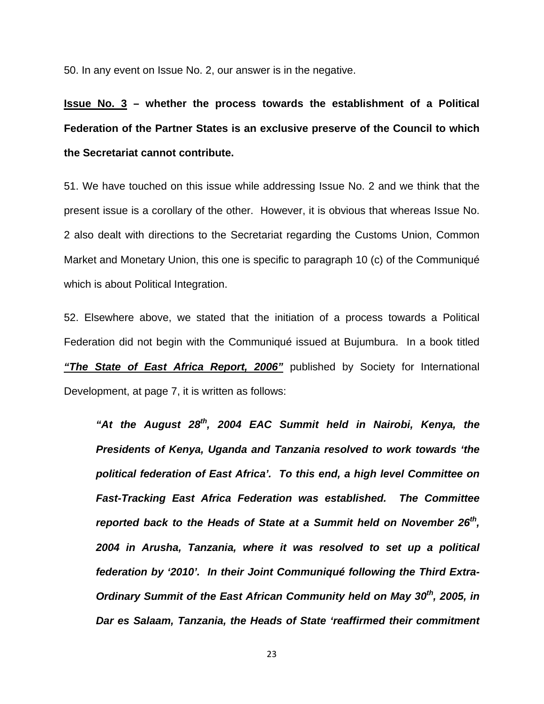50. In any event on Issue No. 2, our answer is in the negative.

**Issue No. 3 – whether the process towards the establishment of a Political Federation of the Partner States is an exclusive preserve of the Council to which the Secretariat cannot contribute.** 

51. We have touched on this issue while addressing Issue No. 2 and we think that the present issue is a corollary of the other. However, it is obvious that whereas Issue No. 2 also dealt with directions to the Secretariat regarding the Customs Union, Common Market and Monetary Union, this one is specific to paragraph 10 (c) of the Communiqué which is about Political Integration.

52. Elsewhere above, we stated that the initiation of a process towards a Political Federation did not begin with the Communiqué issued at Bujumbura. In a book titled *"The State of East Africa Report, 2006"* published by Society for International Development, at page 7, it is written as follows:

*"At the August 28th, 2004 EAC Summit held in Nairobi, Kenya, the Presidents of Kenya, Uganda and Tanzania resolved to work towards 'the political federation of East Africa'. To this end, a high level Committee on Fast-Tracking East Africa Federation was established. The Committee reported back to the Heads of State at a Summit held on November 26<sup>th</sup>, 2004 in Arusha, Tanzania, where it was resolved to set up a political federation by '2010'. In their Joint Communiqué following the Third Extra-Ordinary Summit of the East African Community held on May 30th, 2005, in Dar es Salaam, Tanzania, the Heads of State 'reaffirmed their commitment*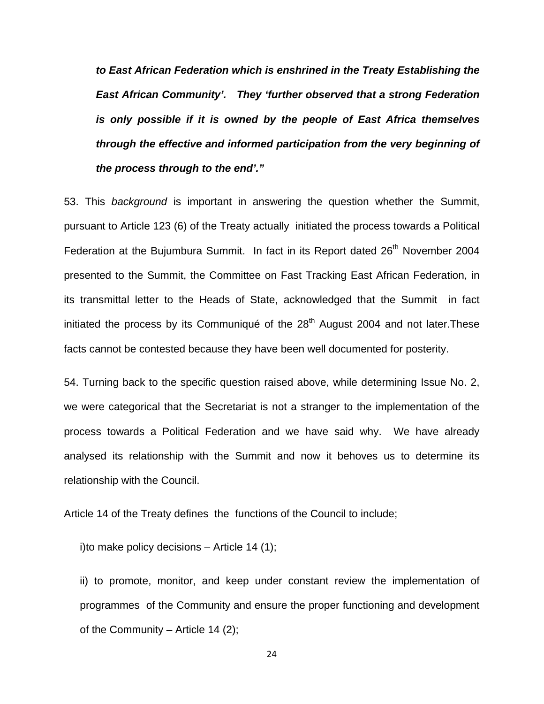*to East African Federation which is enshrined in the Treaty Establishing the East African Community'. They 'further observed that a strong Federation is only possible if it is owned by the people of East Africa themselves through the effective and informed participation from the very beginning of the process through to the end'."*

53. This *background* is important in answering the question whether the Summit, pursuant to Article 123 (6) of the Treaty actually initiated the process towards a Political Federation at the Bujumbura Summit. In fact in its Report dated 26<sup>th</sup> November 2004 presented to the Summit, the Committee on Fast Tracking East African Federation, in its transmittal letter to the Heads of State, acknowledged that the Summit in fact initiated the process by its Communiqué of the  $28<sup>th</sup>$  August 2004 and not later. These facts cannot be contested because they have been well documented for posterity.

54. Turning back to the specific question raised above, while determining Issue No. 2, we were categorical that the Secretariat is not a stranger to the implementation of the process towards a Political Federation and we have said why. We have already analysed its relationship with the Summit and now it behoves us to determine its relationship with the Council.

Article 14 of the Treaty defines the functions of the Council to include;

i)to make policy decisions  $-$  Article 14 (1);

ii) to promote, monitor, and keep under constant review the implementation of programmes of the Community and ensure the proper functioning and development of the Community – Article 14  $(2)$ ;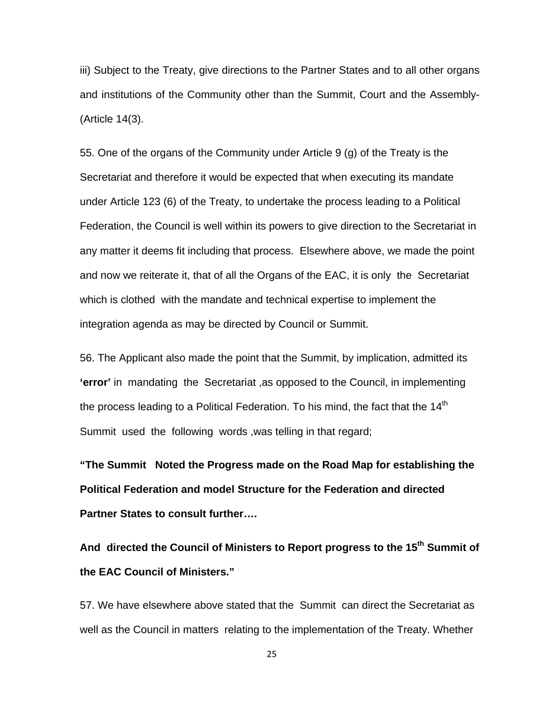iii) Subject to the Treaty, give directions to the Partner States and to all other organs and institutions of the Community other than the Summit, Court and the Assembly- (Article 14(3).

55. One of the organs of the Community under Article 9 (g) of the Treaty is the Secretariat and therefore it would be expected that when executing its mandate under Article 123 (6) of the Treaty, to undertake the process leading to a Political Federation, the Council is well within its powers to give direction to the Secretariat in any matter it deems fit including that process. Elsewhere above, we made the point and now we reiterate it, that of all the Organs of the EAC, it is only the Secretariat which is clothed with the mandate and technical expertise to implement the integration agenda as may be directed by Council or Summit.

56. The Applicant also made the point that the Summit, by implication, admitted its **'error'** in mandating the Secretariat ,as opposed to the Council, in implementing the process leading to a Political Federation. To his mind, the fact that the  $14<sup>th</sup>$ Summit used the following words ,was telling in that regard;

**"The Summit Noted the Progress made on the Road Map for establishing the Political Federation and model Structure for the Federation and directed Partner States to consult further….** 

And directed the Council of Ministers to Report progress to the 15<sup>th</sup> Summit of **the EAC Council of Ministers."** 

57. We have elsewhere above stated that the Summit can direct the Secretariat as well as the Council in matters relating to the implementation of the Treaty. Whether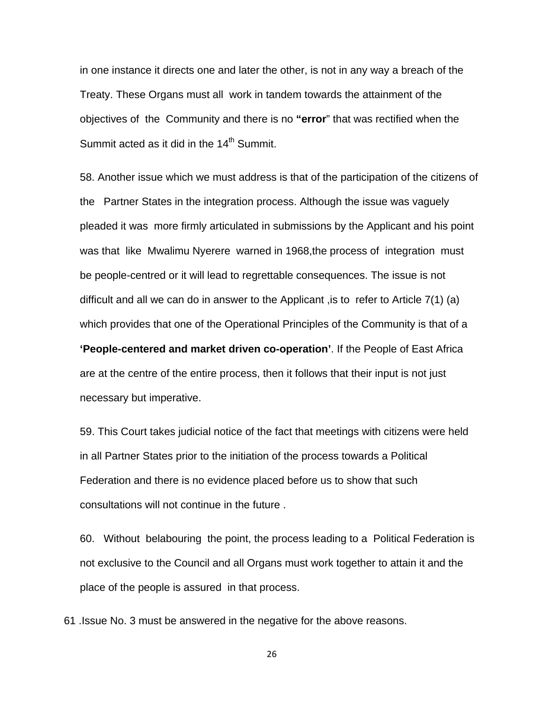in one instance it directs one and later the other, is not in any way a breach of the Treaty. These Organs must all work in tandem towards the attainment of the objectives of the Community and there is no **"error**" that was rectified when the Summit acted as it did in the  $14<sup>th</sup>$  Summit.

58. Another issue which we must address is that of the participation of the citizens of the Partner States in the integration process. Although the issue was vaguely pleaded it was more firmly articulated in submissions by the Applicant and his point was that like Mwalimu Nyerere warned in 1968,the process of integration must be people-centred or it will lead to regrettable consequences. The issue is not difficult and all we can do in answer to the Applicant ,is to refer to Article 7(1) (a) which provides that one of the Operational Principles of the Community is that of a **'People-centered and market driven co-operation'**. If the People of East Africa are at the centre of the entire process, then it follows that their input is not just necessary but imperative.

59. This Court takes judicial notice of the fact that meetings with citizens were held in all Partner States prior to the initiation of the process towards a Political Federation and there is no evidence placed before us to show that such consultations will not continue in the future .

60. Without belabouring the point, the process leading to a Political Federation is not exclusive to the Council and all Organs must work together to attain it and the place of the people is assured in that process.

61 .Issue No. 3 must be answered in the negative for the above reasons.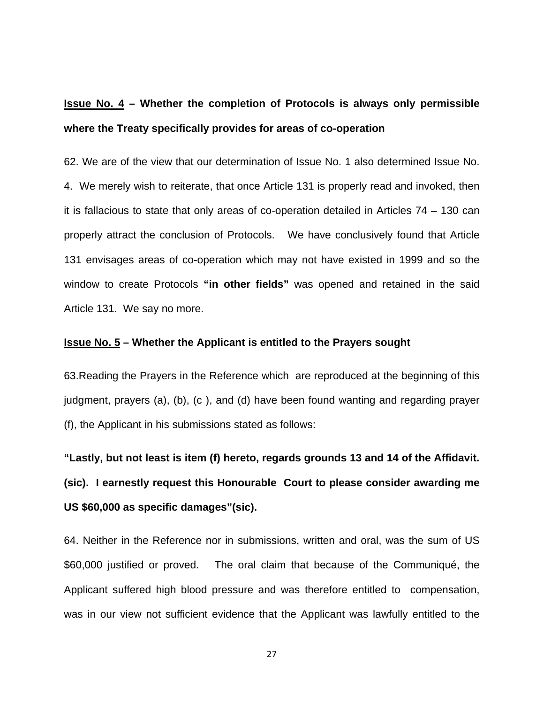## **Issue No. 4 – Whether the completion of Protocols is always only permissible where the Treaty specifically provides for areas of co-operation**

62. We are of the view that our determination of Issue No. 1 also determined Issue No. 4. We merely wish to reiterate, that once Article 131 is properly read and invoked, then it is fallacious to state that only areas of co-operation detailed in Articles 74 – 130 can properly attract the conclusion of Protocols. We have conclusively found that Article 131 envisages areas of co-operation which may not have existed in 1999 and so the window to create Protocols **"in other fields"** was opened and retained in the said Article 131. We say no more.

#### **Issue No. 5 – Whether the Applicant is entitled to the Prayers sought**

63.Reading the Prayers in the Reference which are reproduced at the beginning of this judgment, prayers (a), (b), (c ), and (d) have been found wanting and regarding prayer (f), the Applicant in his submissions stated as follows:

**"Lastly, but not least is item (f) hereto, regards grounds 13 and 14 of the Affidavit. (sic). I earnestly request this Honourable Court to please consider awarding me US \$60,000 as specific damages"(sic).** 

64. Neither in the Reference nor in submissions, written and oral, was the sum of US \$60,000 justified or proved. The oral claim that because of the Communiqué, the Applicant suffered high blood pressure and was therefore entitled to compensation, was in our view not sufficient evidence that the Applicant was lawfully entitled to the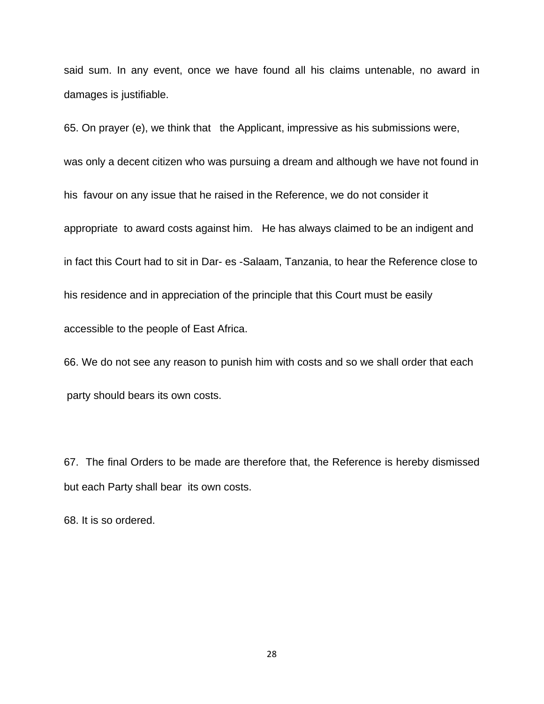said sum. In any event, once we have found all his claims untenable, no award in damages is justifiable.

65. On prayer (e), we think that the Applicant, impressive as his submissions were, was only a decent citizen who was pursuing a dream and although we have not found in his favour on any issue that he raised in the Reference, we do not consider it appropriate to award costs against him. He has always claimed to be an indigent and in fact this Court had to sit in Dar- es -Salaam, Tanzania, to hear the Reference close to his residence and in appreciation of the principle that this Court must be easily accessible to the people of East Africa.

66. We do not see any reason to punish him with costs and so we shall order that each party should bears its own costs.

67. The final Orders to be made are therefore that, the Reference is hereby dismissed but each Party shall bear its own costs.

68. It is so ordered.